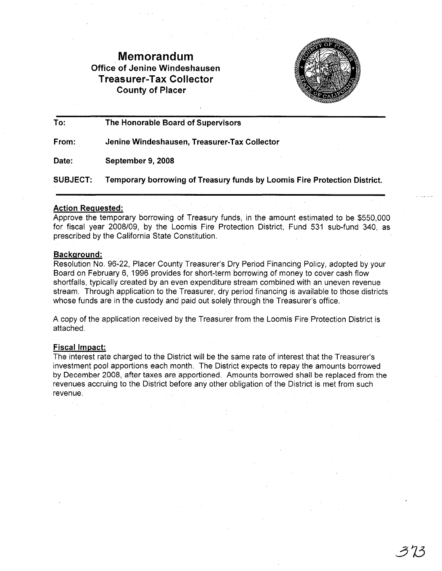# Memorandum Office of Jenine Windeshausen Treasurer-Tax Collector County of Placer



To: The Honorable Board of Supervisors

From: Jenine Windeshausen, Treasurer-Tax Collector

Date: September 9, 2008

SUBJECT: Temporary borrowing of Treasury funds by Loomis Fire Protection District.

## Action Requested:

Approve the temporary borrowing of Treasury funds, in the amount estimated to be \$550,000 for fiscal year 2008/09, by the Loomis Fire Protection District, Fund 531 sub-fund 340, as prescribed by the California State Constitution.

### Background:

Resolution No. 96-22, Placer County Treasurer's Dry Period Financing Policy, adopted by your Board on February 6, 1996 provides for short-term borrowing of money to cover cash flow shortfalls, typically created by an even expenditure stream combined with an uneven revenue stream. Through application to the Treasurer, dry period financing is available to those districts whose funds are in the custody and paid out solely through the Treasurer's office.

A copy of the application received by the Treasurer from the Loomis Fire Protection District is attached.

## Fiscal Impact:

The interest rate charged to the District will be the same rate of interest that the Treasurer's investment pool apportions each month. The District expects to repay the amounts borrowed by December 2008, after taxes are apportioned. Amounts borrowed shall be replaced from the revenues accruing to the District before any other obligation of the District is met from such revenue.